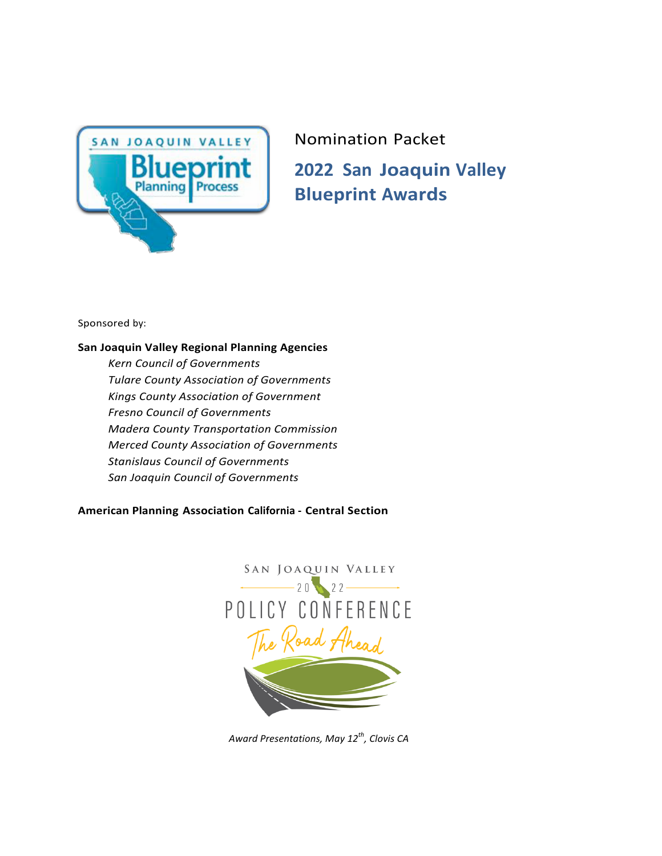

# Nomination Packet **2022 San Joaquin Valley Blueprint Awards**

Sponsored by:

# **San Joaquin Valley Regional Planning Agencies**

*Kern Council of Governments Tulare County Association of Governments Kings County Association of Government Fresno Council of Governments Madera County Transportation Commission Merced County Association of Governments Stanislaus Council of Governments San Joaquin Council of Governments*

# **American Planning Association California - Central Section**



*Award Presentations, May 12th, Clovis CA*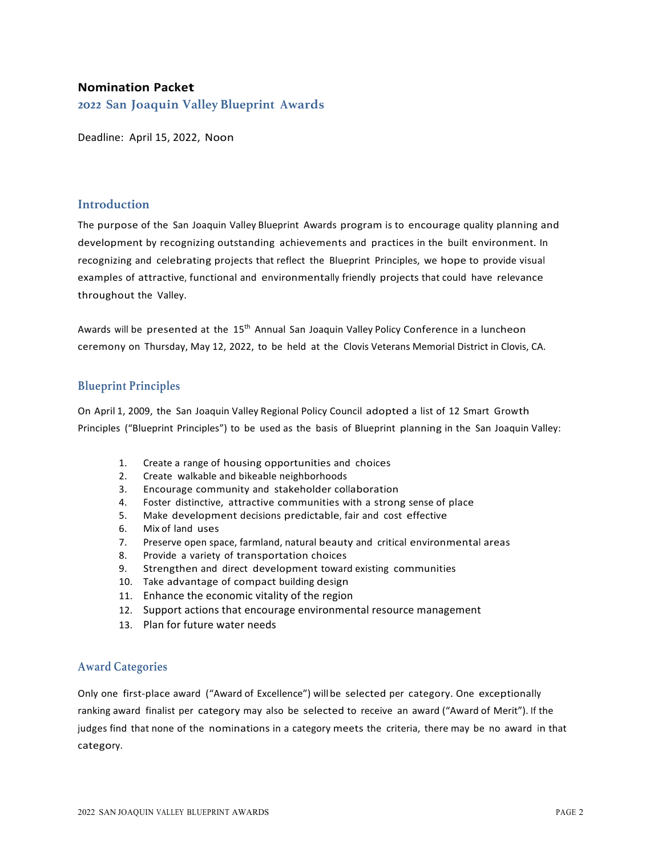# **Nomination Packet**

**2022 San Joaquin Valley Blueprint Awards**

Deadline: April 15, 2022, Noon

## **Introduction**

The purpose of the San Joaquin Valley Blueprint Awards program is to encourage quality planning and development by recognizing outstanding achievements and practices in the built environment. In recognizing and celebrating projects that reflect the Blueprint Principles, we hope to provide visual examples of attractive, functional and environmentally friendly projects that could have relevance throughout the Valley.

Awards will be presented at the 15<sup>th</sup> Annual San Joaquin Valley Policy Conference in a luncheon ceremony on Thursday, May 12, 2022, to be held at the Clovis Veterans Memorial District in Clovis, CA.

# **Blueprint Principles**

On April 1, 2009, the San Joaquin Valley Regional Policy Council adopted a list of 12 Smart Growth Principles ("Blueprint Principles") to be used as the basis of Blueprint planning in the San Joaquin Valley:

- 1. Create a range of housing opportunities and choices
- 2. Create walkable and bikeable neighborhoods
- 3. Encourage community and stakeholder collaboration
- 4. Foster distinctive, attractive communities with a strong sense of place
- 5. Make development decisions predictable, fair and cost effective
- 6. Mix of land uses
- 7. Preserve open space, farmland, natural beauty and critical environmental areas
- 8. Provide a variety of transportation choices
- 9. Strengthen and direct development toward existing communities
- 10. Take advantage of compact building design
- 11. Enhance the economic vitality of the region
- 12. Support actions that encourage environmental resource management
- 13. Plan for future water needs

## **Award Categories**

Only one first-place award ("Award of Excellence") will be selected per category. One exceptionally ranking award finalist per category may also be selected to receive an award ("Award of Merit"). If the judges find that none of the nominations in a category meets the criteria, there may be no award in that category.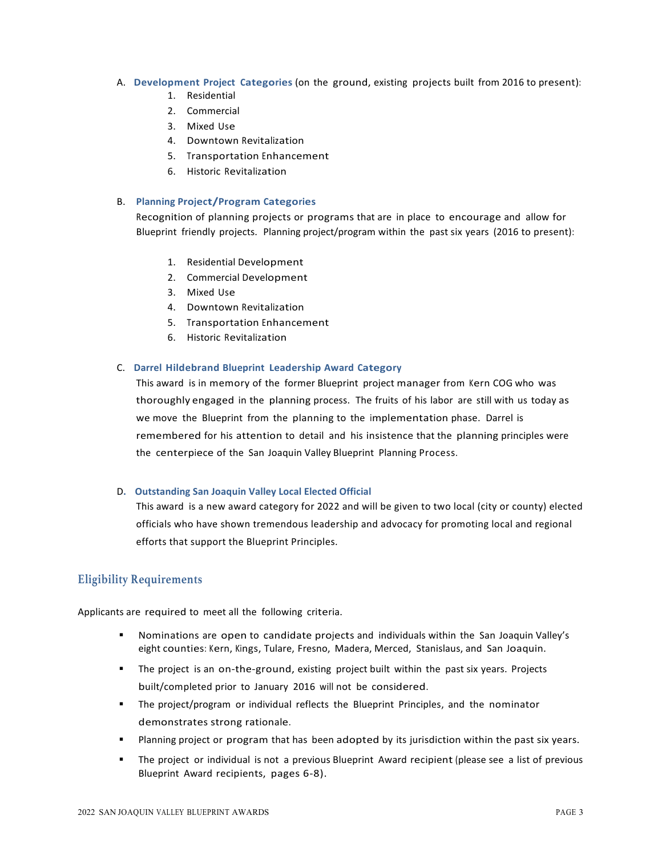## A. Development Project Categories (on the ground, existing projects built from 2016 to present):

- 1. Residential
- 2. Commercial
- 3. Mixed Use
- 4. Downtown Revitalization
- 5. Transportation Enhancement
- 6. Historic Revitalization

## B. **Planning Project/Program Categories**

Recognition of planning projects or programs that are in place to encourage and allow for Blueprint friendly projects. Planning project/program within the past six years (2016 to present):

- 1. Residential Development
- 2. Commercial Development
- 3. Mixed Use
- 4. Downtown Revitalization
- 5. Transportation Enhancement
- 6. Historic Revitalization

#### C. **Darrel Hildebrand Blueprint Leadership Award Category**

This award is in memory of the former Blueprint project manager from Kern COG who was thoroughly engaged in the planning process. The fruits of his labor are still with us today as we move the Blueprint from the planning to the implementation phase. Darrel is remembered for his attention to detail and his insistence that the planning principles were the centerpiece of the San Joaquin Valley Blueprint Planning Process.

#### D**. Outstanding San Joaquin Valley Local Elected Official**

This award is a new award category for 2022 and will be given to two local (city or county) elected officials who have shown tremendous leadership and advocacy for promoting local and regional efforts that support the Blueprint Principles.

## **Eligibility Requirements**

Applicants are required to meet all the following criteria.

- Nominations are open to candidate projects and individuals within the San Joaquin Valley's eight counties: Kern, Kings, Tulare, Fresno, Madera, Merced, Stanislaus, and San Joaquin.
- The project is an on-the-ground, existing project built within the past six years. Projects built/completed prior to January 2016 will not be considered.
- § The project/program or individual reflects the Blueprint Principles, and the nominator demonstrates strong rationale.
- **■** Planning project or program that has been adopted by its jurisdiction within the past six years.
- <sup>■</sup> The project or individual is not a previous Blueprint Award recipient (please see a list of previous Blueprint Award recipients, pages 6-8).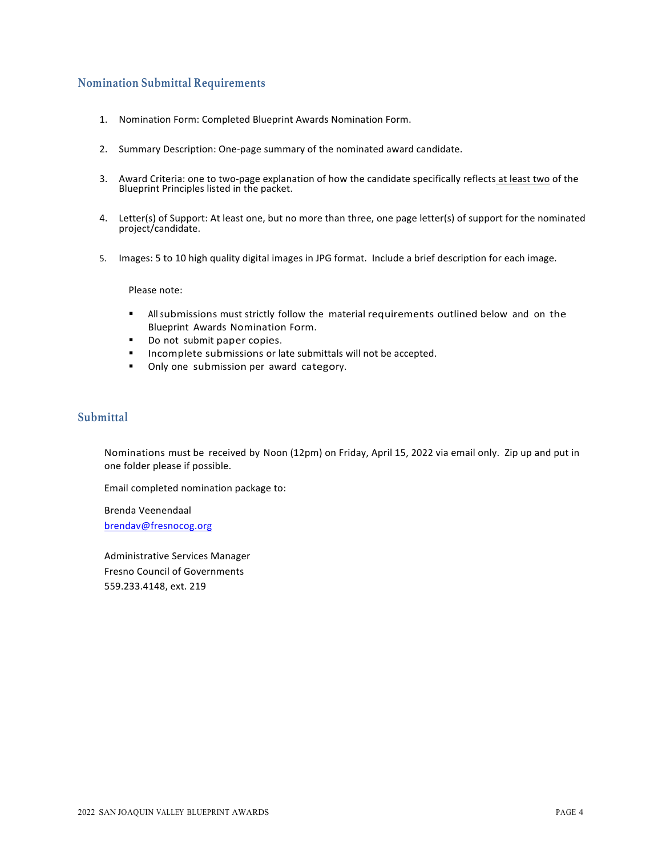# **Nomination Submittal Requirements**

- 1. Nomination Form: Completed Blueprint Awards Nomination Form.
- 2. Summary Description: One-page summary of the nominated award candidate.
- 3. Award Criteria: one to two-page explanation of how the candidate specifically reflects at least two of the Blueprint Principles listed in the packet.
- 4. Letter(s) of Support: At least one, but no more than three, one page letter(s) of support for the nominated project/candidate.
- 5. Images: 5 to 10 high quality digital images in JPG format. Include a brief description for each image.

Please note:

- **•** All submissions must strictly follow the material requirements outlined below and on the Blueprint Awards Nomination Form.
- Do not submit paper copies.
- Incomplete submissions or late submittals will not be accepted.
- Only one submission per award category.

# **Submittal**

Nominations must be received by Noon (12pm) on Friday, April 15, 2022 via email only. Zip up and put in one folder please if possible.

Email completed nomination package to:

Brenda Veenendaal brendav@fresnocog.org

Administrative Services Manager Fresno Council of Governments 559.233.4148, ext. 219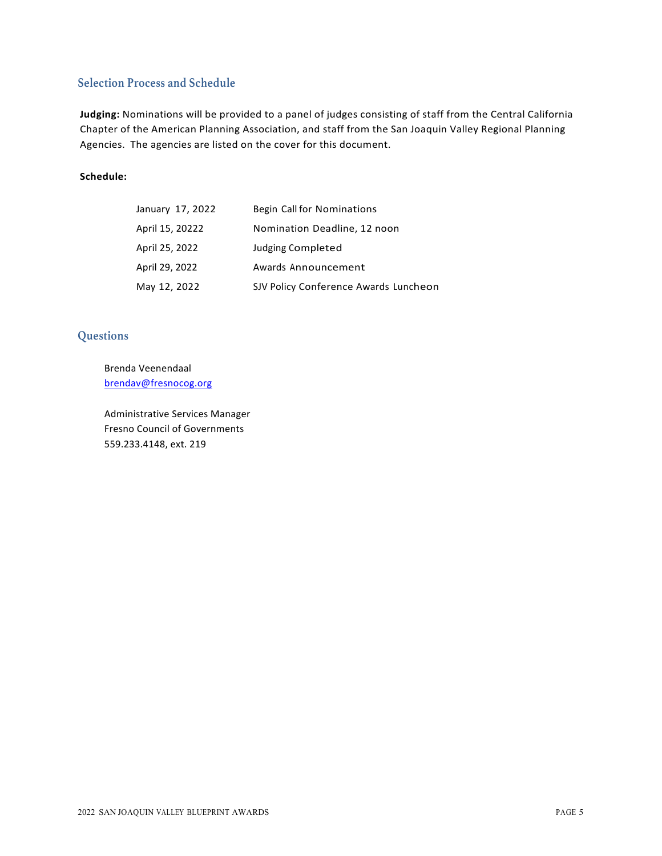# **Selection Process and Schedule**

Judging: Nominations will be provided to a panel of judges consisting of staff from the Central California Chapter of the American Planning Association, and staff from the San Joaquin Valley Regional Planning Agencies. The agencies are listed on the cover for this document.

## **Schedule:**

| January 17, 2022 | Begin Call for Nominations            |
|------------------|---------------------------------------|
| April 15, 20222  | Nomination Deadline, 12 noon          |
| April 25, 2022   | <b>Judging Completed</b>              |
| April 29, 2022   | Awards Announcement                   |
| May 12, 2022     | SJV Policy Conference Awards Luncheon |

# **Questions**

Brenda Veenendaal brendav@fresnocog.org

Administrative Services Manager Fresno Council of Governments 559.233.4148, ext. 219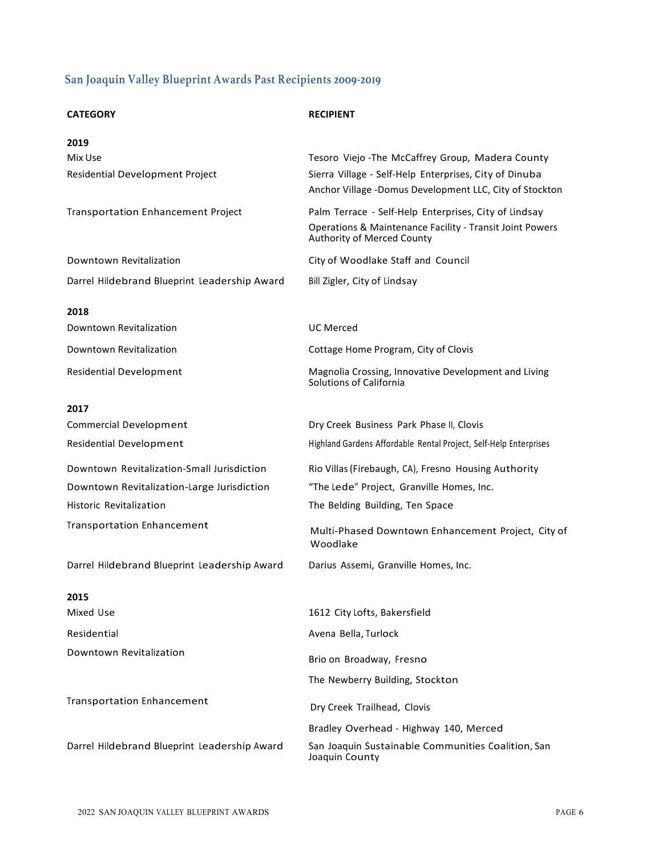# **San Joaquin Valley Blueprint Awards Past Recipients 2009-2019**

| <b>CATEGORY</b>                              | <b>RECIPIENT</b>                                                                                                  |
|----------------------------------------------|-------------------------------------------------------------------------------------------------------------------|
| 2019                                         |                                                                                                                   |
| Mix Use                                      | Tesoro Viejo - The McCaffrey Group, Madera County                                                                 |
| Residential Development Project              | Sierra Village - Self-Help Enterprises, City of Dinuba<br>Anchor Village -Domus Development LLC, City of Stockton |
| <b>Transportation Enhancement Project</b>    | Palm Terrace - Self-Help Enterprises, City of Lindsay                                                             |
|                                              | Operations & Maintenance Facility - Transit Joint Powers<br>Authority of Merced County                            |
| Downtown Revitalization                      | City of Woodlake Staff and Council                                                                                |
| Darrel Hildebrand Blueprint Leadership Award | Bill Zigler, City of Lindsay                                                                                      |
| 2018                                         |                                                                                                                   |
| Downtown Revitalization                      | <b>UC</b> Merced                                                                                                  |
| Downtown Revitalization                      | Cottage Home Program, City of Clovis                                                                              |
| <b>Residential Development</b>               | Magnolia Crossing, Innovative Development and Living<br>Solutions of California                                   |
| 2017                                         |                                                                                                                   |
| <b>Commercial Development</b>                | Dry Creek Business Park Phase II, Clovis                                                                          |
| <b>Residential Development</b>               | Highland Gardens Affordable Rental Project, Self-Help Enterprises                                                 |
| Downtown Revitalization-Small Jurisdiction   | Rio Villas (Firebaugh, CA), Fresno Housing Authority                                                              |
| Downtown Revitalization-Large Jurisdiction   | "The Lede" Project, Granville Homes, Inc.                                                                         |
| Historic Revitalization                      | The Belding Building, Ten Space                                                                                   |
| <b>Transportation Enhancement</b>            | Multi-Phased Downtown Enhancement Project, City of<br>Woodlake                                                    |
| Darrel Hildebrand Blueprint Leadership Award | Darius Assemi, Granville Homes, Inc.                                                                              |
| 2015                                         |                                                                                                                   |
| Mixed Use                                    | 1612 City Lofts, Bakersfield                                                                                      |
| Residential                                  | Avena Bella, Turlock                                                                                              |
| Downtown Revitalization                      | Brio on Broadway, Fresno                                                                                          |
|                                              | The Newberry Building, Stockton                                                                                   |
| <b>Transportation Enhancement</b>            | Dry Creek Trailhead, Clovis                                                                                       |
|                                              | Bradley Overhead - Highway 140, Merced                                                                            |
| Darrel Hildebrand Blueprint Leadership Award | San Joaquin Sustainable Communities Coalition, San<br>Joaquin County                                              |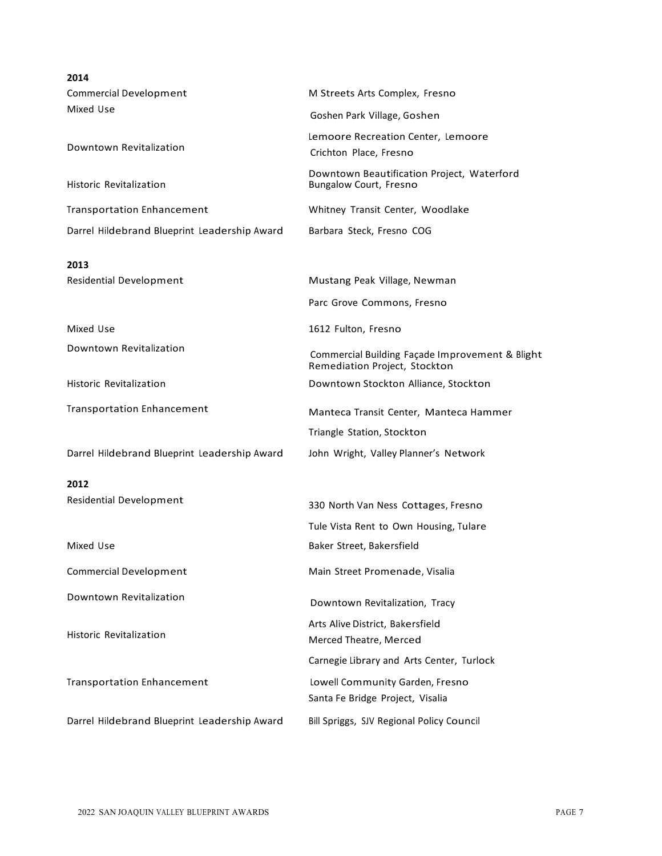| 2014                                         |                                                                                  |  |  |
|----------------------------------------------|----------------------------------------------------------------------------------|--|--|
| Commercial Development                       | M Streets Arts Complex, Fresno                                                   |  |  |
| Mixed Use                                    | Goshen Park Village, Goshen                                                      |  |  |
| Downtown Revitalization                      | Lemoore Recreation Center, Lemoore<br>Crichton Place, Fresno                     |  |  |
| Historic Revitalization                      | Downtown Beautification Project, Waterford<br>Bungalow Court, Fresno             |  |  |
| <b>Transportation Enhancement</b>            | Whitney Transit Center, Woodlake                                                 |  |  |
| Darrel Hildebrand Blueprint Leadership Award | Barbara Steck, Fresno COG                                                        |  |  |
| 2013<br><b>Residential Development</b>       | Mustang Peak Village, Newman                                                     |  |  |
|                                              | Parc Grove Commons, Fresno                                                       |  |  |
|                                              |                                                                                  |  |  |
| Mixed Use                                    | 1612 Fulton, Fresno                                                              |  |  |
| Downtown Revitalization                      | Commercial Building Façade Improvement & Blight<br>Remediation Project, Stockton |  |  |
| Historic Revitalization                      | Downtown Stockton Alliance, Stockton                                             |  |  |
| <b>Transportation Enhancement</b>            | Manteca Transit Center, Manteca Hammer                                           |  |  |
|                                              | Triangle Station, Stockton                                                       |  |  |
| Darrel Hildebrand Blueprint Leadership Award | John Wright, Valley Planner's Network                                            |  |  |
| 2012                                         |                                                                                  |  |  |
| <b>Residential Development</b>               | 330 North Van Ness Cottages, Fresno                                              |  |  |
|                                              | Tule Vista Rent to Own Housing, Tulare                                           |  |  |
| Mixed Use                                    | Baker Street, Bakersfield                                                        |  |  |
| <b>Commercial Development</b>                | Main Street Promenade, Visalia                                                   |  |  |
| Downtown Revitalization                      | Downtown Revitalization, Tracy                                                   |  |  |
| Historic Revitalization                      | Arts Alive District, Bakersfield<br>Merced Theatre, Merced                       |  |  |
|                                              | Carnegie Library and Arts Center, Turlock                                        |  |  |
| <b>Transportation Enhancement</b>            | Lowell Community Garden, Fresno<br>Santa Fe Bridge Project, Visalia              |  |  |
| Darrel Hildebrand Blueprint Leadership Award | Bill Spriggs, SJV Regional Policy Council                                        |  |  |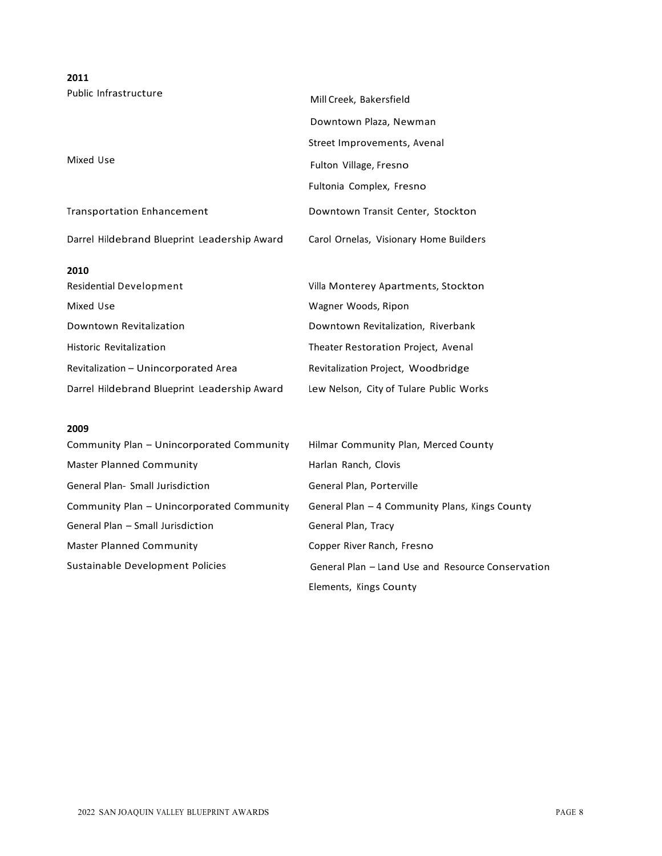| 2011                                         |                                         |  |  |
|----------------------------------------------|-----------------------------------------|--|--|
| Public Infrastructure                        | Mill Creek, Bakersfield                 |  |  |
|                                              | Downtown Plaza, Newman                  |  |  |
|                                              | Street Improvements, Avenal             |  |  |
| Mixed Use                                    | Fulton Village, Fresno                  |  |  |
|                                              | Fultonia Complex, Fresno                |  |  |
| <b>Transportation Enhancement</b>            | Downtown Transit Center, Stockton       |  |  |
| Darrel Hildebrand Blueprint Leadership Award | Carol Ornelas, Visionary Home Builders  |  |  |
| 2010                                         |                                         |  |  |
| <b>Residential Development</b>               | Villa Monterey Apartments, Stockton     |  |  |
| Mixed Use                                    | Wagner Woods, Ripon                     |  |  |
| Downtown Revitalization                      | Downtown Revitalization, Riverbank      |  |  |
| <b>Historic Revitalization</b>               | Theater Restoration Project, Avenal     |  |  |
| Revitalization - Unincorporated Area         | Revitalization Project, Woodbridge      |  |  |
| Darrel Hildebrand Blueprint Leadership Award | Lew Nelson, City of Tulare Public Works |  |  |

## **2009**

| Community Plan – Unincorporated Community | Hilmar Community Plan, Merced County              |
|-------------------------------------------|---------------------------------------------------|
| Master Planned Community                  | Harlan Ranch, Clovis                              |
| <b>General Plan- Small Jurisdiction</b>   | General Plan, Porterville                         |
| Community Plan – Unincorporated Community | General Plan – 4 Community Plans, Kings County    |
| General Plan – Small Jurisdiction         | General Plan, Tracy                               |
| Master Planned Community                  | Copper River Ranch, Fresno                        |
| Sustainable Development Policies          | General Plan - Land Use and Resource Conservation |
|                                           | Elements, Kings County                            |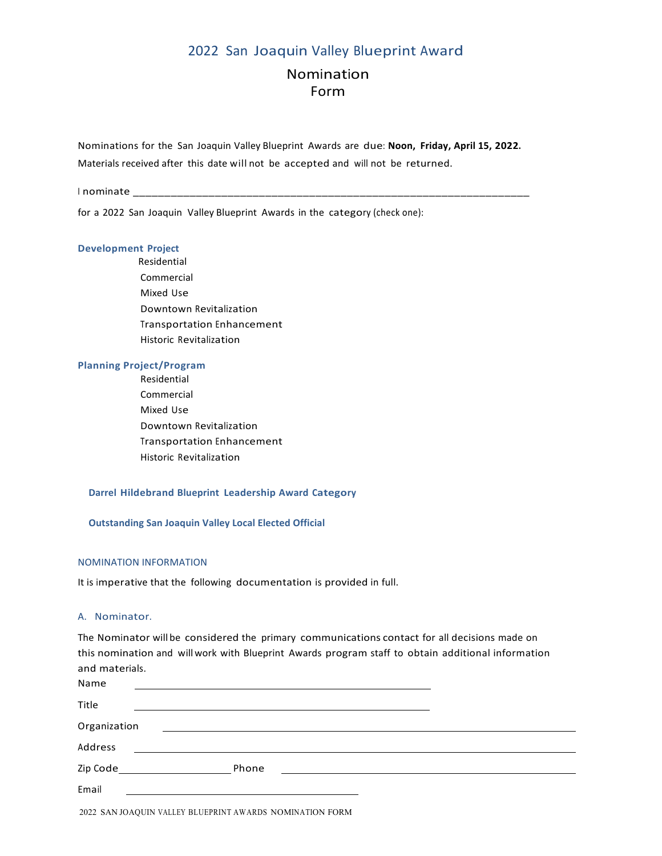# 2022 San Joaquin Valley Blueprint Award

# Nomination Form

Nominations for the San Joaquin Valley Blueprint Awards are due: **Noon, Friday, April 15, 2022.** Materials received after this date will not be accepted and will not be returned.

I nominate

for a 2022 San Joaquin Valley Blueprint Awards in the category (check one):

## **Development Project**

 Residential Commercial Mixed Use Downtown Revitalization Transportation Enhancement Historic Revitalization

#### **Planning Project/Program**

 Residential Commercial Mixed Use Downtown Revitalization Transportation Enhancement Historic Revitalization

## **Darrel Hildebrand Blueprint Leadership Award Category**

**Outstanding San Joaquin Valley Local Elected Official** 

#### NOMINATION INFORMATION

It is imperative that the following documentation is provided in full.

#### A. Nominator.

The Nominator will be considered the primary communications contact for all decisions made on this nomination and willwork with Blueprint Awards program staff to obtain additional information and materials.

| Name         |       |  |  |
|--------------|-------|--|--|
| Title        |       |  |  |
| Organization |       |  |  |
| Address      |       |  |  |
| Zip Code     | Phone |  |  |
| Email        |       |  |  |

2022 SAN JOAQUIN VALLEY BLUEPRINT AWARDS NOMINATION FORM